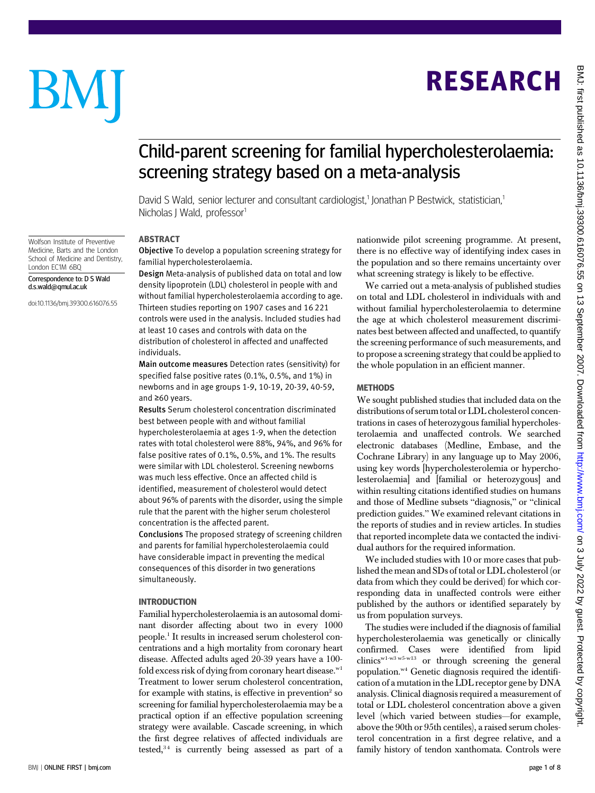# BM

# **RESEARCH** RESEARCH

# Child-parent screening for familial hypercholesterolaemia: screening strategy based on a meta-analysis

David S Wald, senior lecturer and consultant cardiologist,<sup>1</sup> Jonathan P Bestwick, statistician,<sup>1</sup> Nicholas J Wald, professor<sup>1</sup>

-----------<br>Objective To develop a population screening strategy for familial hypercholesterolaemia.

Design Meta-analysis of published data on total and low density lipoprotein (LDL) cholesterol in people with and without familial hypercholesterolaemia according to age. Thirteen studies reporting on 1907 cases and 16 221 controls were used in the analysis. Included studies had at least 10 cases and controls with data on the distribution of cholesterol in affected and unaffected individuals.

Main outcome measures Detection rates (sensitivity) for specified false positive rates (0.1%, 0.5%, and 1%) in newborns and in age groups 1-9, 10-19, 20-39, 40-59, and ≥60 years.

Results Serum cholesterol concentration discriminated best between people with and without familial hypercholesterolaemia at ages 1-9, when the detection rates with total cholesterol were 88%, 94%, and 96% for false positive rates of 0.1%, 0.5%, and 1%. The results were similar with LDL cholesterol. Screening newborns was much less effective. Once an affected child is identified, measurement of cholesterol would detect about 96% of parents with the disorder, using the simple rule that the parent with the higher serum cholesterol concentration is the affected parent.

Conclusions The proposed strategy of screening children and parents for familial hypercholesterolaemia could have considerable impact in preventing the medical consequences of this disorder in two generations simultaneously.

# **INTRODUCTION**

------- - - -----<br>Familial hypercholesterolaemia is an autosomal dominant disorder affecting about two in every 1000 people.1 It results in increased serum cholesterol concentrations and a high mortality from coronary heart disease. Affected adults aged 20-39 years have a 100 fold excess risk of dying from coronary heart disease.<sup>w1</sup> Treatment to lower serum cholesterol concentration, for example with statins, is effective in prevention<sup>2</sup> so screening for familial hypercholesterolaemia may be a practical option if an effective population screening strategy were available. Cascade screening, in which the first degree relatives of affected individuals are tested, $34$  is currently being assessed as part of a nationwide pilot screening programme. At present, there is no effective way of identifying index cases in the population and so there remains uncertainty over what screening strategy is likely to be effective.

We carried out a meta-analysis of published studies on total and LDL cholesterol in individuals with and without familial hypercholesterolaemia to determine the age at which cholesterol measurement discriminates best between affected and unaffected, to quantify the screening performance of such measurements, and to propose a screening strategy that could be applied to the whole population in an efficient manner.

we sought published studies that included data on the distributions of serum total or LDL cholesterol concentrations in cases of heterozygous familial hypercholesterolaemia and unaffected controls. We searched electronic databases (Medline, Embase, and the Cochrane Library) in any language up to May 2006, using key words [hypercholesterolemia or hypercholesterolaemia] and [familial or heterozygous] and within resulting citations identified studies on humans and those of Medline subsets "diagnosis," or "clinical prediction guides." We examined relevant citations in the reports of studies and in review articles. In studies that reported incomplete data we contacted the individual authors for the required information.

We included studies with 10 or more cases that published the mean and SDs of total or LDL cholesterol (or data from which they could be derived) for which corresponding data in unaffected controls were either published by the authors or identified separately by us from population surveys.

The studies were included if the diagnosis of familial hypercholesterolaemia was genetically or clinically confirmed. Cases were identified from lipid clinics<sup>w1-w3 w5-w13</sup> or through screening the general population.w4 Genetic diagnosis required the identification of a mutation in the LDL receptor gene by DNA analysis. Clinical diagnosis required a measurement of total or LDL cholesterol concentration above a given level (which varied between studies—for example, above the 90th or 95th centiles), a raised serum cholesterol concentration in a first degree relative, and a family history of tendon xanthomata. Controls were

Wolfson Institute of Preventive Medicine, Barts and the London School of Medicine and Dentistry, London EC1M 6BQ

Correspondence to: D S Wald d.s.wald@qmul.ac.uk

doi:10.1136/bmj.39300.616076.55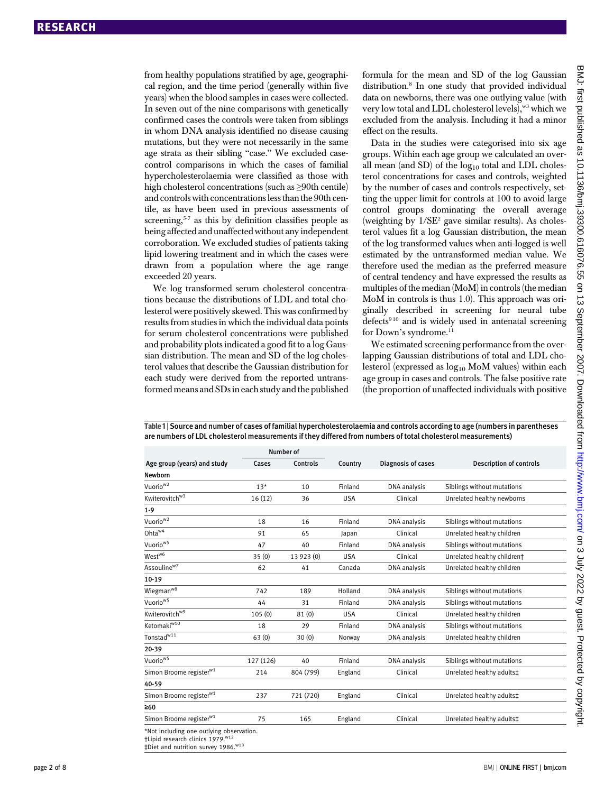from healthy populations stratified by age, geographical region, and the time period (generally within five years) when the blood samples in cases were collected. In seven out of the nine comparisons with genetically confirmed cases the controls were taken from siblings in whom DNA analysis identified no disease causing mutations, but they were not necessarily in the same age strata as their sibling "case." We excluded casecontrol comparisons in which the cases of familial hypercholesterolaemia were classified as those with high cholesterol concentrations (such as ≥90th centile) and controls with concentrations less than the 90th centile, as have been used in previous assessments of screening, $5-7$  as this by definition classifies people as being affected and unaffected without any independent corroboration. We excluded studies of patients taking lipid lowering treatment and in which the cases were drawn from a population where the age range exceeded 20 years.

We log transformed serum cholesterol concentrations because the distributions of LDL and total cholesterol were positively skewed. This was confirmed by results from studies in which the individual data points for serum cholesterol concentrations were published and probability plots indicated a good fit to a log Gaussian distribution. The mean and SD of the log cholesterol values that describe the Gaussian distribution for each study were derived from the reported untransformed means and SDs in each study and the published formula for the mean and SD of the log Gaussian distribution.8 In one study that provided individual data on newborns, there was one outlying value (with very low total and LDL cholesterol levels), w<sup>3</sup> which we excluded from the analysis. Including it had a minor effect on the results.

Data in the studies were categorised into six age groups. Within each age group we calculated an overall mean (and SD) of the  $log_{10}$  total and LDL cholesterol concentrations for cases and controls, weighted by the number of cases and controls respectively, setting the upper limit for controls at 100 to avoid large control groups dominating the overall average (weighting by  $1/SE^2$  gave similar results). As cholesterol values fit a log Gaussian distribution, the mean of the log transformed values when anti-logged is well estimated by the untransformed median value. We therefore used the median as the preferred measure of central tendency and have expressed the results as multiples of the median (MoM) in controls (the median MoM in controls is thus 1.0). This approach was originally described in screening for neural tube defects<sup>910</sup> and is widely used in antenatal screening for Down's syndrome.<sup>11</sup>

We estimated screening performance from the overlapping Gaussian distributions of total and LDL cholesterol (expressed as  $log_{10}$  MoM values) within each age group in cases and controls. The false positive rate (the proportion of unaffected individuals with positive

Table 1 | Source and number of cases of familial hypercholesterolaemia and controls according to age (numbers in parentheses are numbers of LDL cholesterol measurements if they differed from numbers of total cholesterol measurements)

|                                          | Number of |             |            |                    |                                       |
|------------------------------------------|-----------|-------------|------------|--------------------|---------------------------------------|
| Age group (years) and study              | Cases     | Controls    | Country    | Diagnosis of cases | <b>Description of controls</b>        |
| Newborn                                  |           |             |            |                    |                                       |
| Vuorio <sup>w2</sup>                     | $13*$     | 10          | Finland    | DNA analysis       | Siblings without mutations            |
| Kwiterovitch <sup>w3</sup>               | 16(12)    | 36          | <b>USA</b> | Clinical           | Unrelated healthy newborns            |
| $1-9$                                    |           |             |            |                    |                                       |
| Vuorio <sup>w2</sup>                     | 18        | 16          | Finland    | DNA analysis       | Siblings without mutations            |
| Ohta <sup>w4</sup>                       | 91        | 65          | Japan      | Clinical           | Unrelated healthy children            |
| Vuorio <sup>w5</sup>                     | 47        | 40          | Finland    | DNA analysis       | Siblings without mutations            |
| $\mathsf{West}^{\mathsf{w6}}$            | 35(0)     | 13 9 23 (0) | <b>USA</b> | Clinical           | Unrelated healthy childrent           |
| Assouline <sup>w7</sup>                  | 62        | 41          | Canada     | DNA analysis       | Unrelated healthy children            |
| 10-19                                    |           |             |            |                    |                                       |
| Wiegman <sup>w8</sup>                    | 742       | 189         | Holland    | DNA analysis       | Siblings without mutations            |
| Vuorio <sup>w5</sup>                     | 44        | 31          | Finland    | DNA analysis       | Siblings without mutations            |
| Kwiterovitch <sup>w9</sup>               | 105(0)    | 81(0)       | <b>USA</b> | Clinical           | Unrelated healthy children            |
| Ketomaki <sup>w10</sup>                  | 18        | 29          | Finland    | DNA analysis       | Siblings without mutations            |
| Tonstad <sup>w11</sup>                   | 63(0)     | 30(0)       | Norway     | DNA analysis       | Unrelated healthy children            |
| 20-39                                    |           |             |            |                    |                                       |
| Vuorio <sup>w5</sup>                     | 127 (126) | 40          | Finland    | DNA analysis       | Siblings without mutations            |
| Simon Broome register <sup>w1</sup>      | 214       | 804 (799)   | England    | Clinical           | Unrelated healthy adults‡             |
| 40-59                                    |           |             |            |                    |                                       |
| Simon Broome register <sup>w1</sup>      | 237       | 721 (720)   | England    | Clinical           | Unrelated healthy adults‡             |
| $\geq 60$                                |           |             |            |                    |                                       |
| Simon Broome register $w1$               | 75        | 165         | England    | Clinical           | Unrelated healthy adults <sup>±</sup> |
| *Not including one outlying observation. |           |             |            |                    |                                       |

†Lipid research clinics 1979.w12

‡Diet and nutrition survey 1986.w13

BMJ: first published as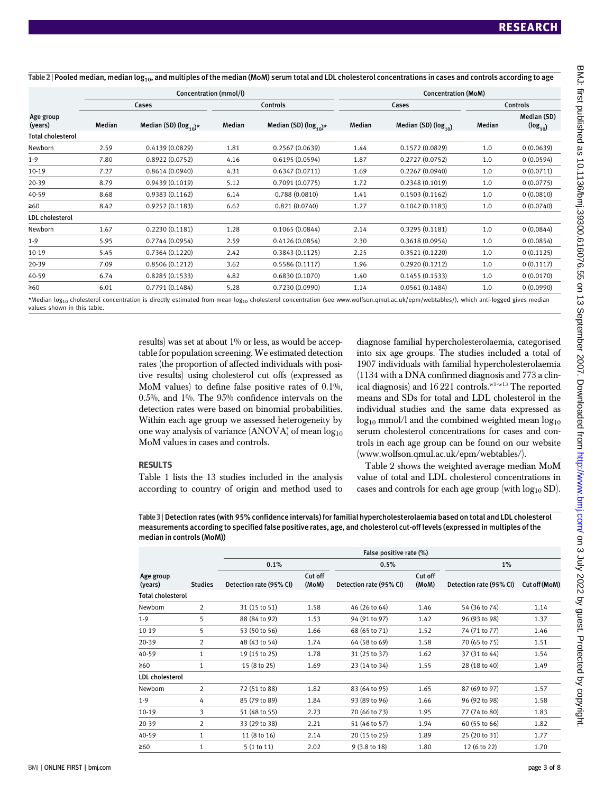|                          | Concentration (mmol/l) |                            |          |                                                                                                                                                                                                            | <b>Concentration (MoM)</b> |                          |          |                              |
|--------------------------|------------------------|----------------------------|----------|------------------------------------------------------------------------------------------------------------------------------------------------------------------------------------------------------------|----------------------------|--------------------------|----------|------------------------------|
|                          | Cases                  |                            | Controls |                                                                                                                                                                                                            | Cases                      |                          | Controls |                              |
| Age group<br>(years)     | Median                 | Median (SD) $(\log_{10})*$ | Median   | Median (SD) $(\log_{10})*$                                                                                                                                                                                 | Median                     | Median (SD) $(log_{10})$ | Median   | Median (SD)<br>$(\log_{10})$ |
| <b>Total cholesterol</b> |                        |                            |          |                                                                                                                                                                                                            |                            |                          |          |                              |
| Newborn                  | 2.59                   | 0.4139(0.0829)             | 1.81     | 0.2567(0.0639)                                                                                                                                                                                             | 1.44                       | 0.1572(0.0829)           | 1.0      | 0(0.0639)                    |
| $1-9$                    | 7.80                   | 0.8922(0.0752)             | 4.16     | 0.6195(0.0594)                                                                                                                                                                                             | 1.87                       | 0.2727(0.0752)           | 1.0      | 0(0.0594)                    |
| 10-19                    | 7.27                   | 0.8614(0.0940)             | 4.31     | 0.6347(0.0711)                                                                                                                                                                                             | 1.69                       | 0.2267(0.0940)           | 1.0      | 0(0.0711)                    |
| 20-39                    | 8.79                   | 0.9439(0.1019)             | 5.12     | 0.7091(0.0775)                                                                                                                                                                                             | 1.72                       | 0.2348(0.1019)           | 1.0      | 0(0.0775)                    |
| 40-59                    | 8.68                   | 0.9383(0.1162)             | 6.14     | 0.788(0.0810)                                                                                                                                                                                              | 1.41                       | 0.1503(0.1162)           | 1.0      | 0(0.0810)                    |
| $\geq 60$                | 8.42                   | 0.9252(0.1183)             | 6.62     | 0.821(0.0740)                                                                                                                                                                                              | 1.27                       | 0.1042(0.1183)           | 1.0      | 0(0.0740)                    |
| <b>LDL</b> cholesterol   |                        |                            |          |                                                                                                                                                                                                            |                            |                          |          |                              |
| Newborn                  | 1.67                   | 0.2230(0.1181)             | 1.28     | 0.1065(0.0844)                                                                                                                                                                                             | 2.14                       | 0.3295(0.1181)           | 1.0      | 0(0.0844)                    |
| $1-9$                    | 5.95                   | 0.7744 (0.0954)            | 2.59     | 0.4126(0.0854)                                                                                                                                                                                             | 2.30                       | 0.3618(0.0954)           | 1.0      | 0(0.0854)                    |
| 10-19                    | 5.45                   | 0.7364(0.1220)             | 2.42     | 0.3843(0.1125)                                                                                                                                                                                             | 2.25                       | 0.3521(0.1220)           | 1.0      | 0(0.1125)                    |
| 20-39                    | 7.09                   | 0.8506(0.1212)             | 3.62     | 0.5586(0.1117)                                                                                                                                                                                             | 1.96                       | 0.2920(0.1212)           | 1.0      | 0(0.1117)                    |
| 40-59                    | 6.74                   | 0.8285(0.1533)             | 4.82     | 0.6830(0.1070)                                                                                                                                                                                             | 1.40                       | 0.1455(0.1533)           | 1.0      | 0(0.0170)                    |
| $\geq 60$                | 6.01                   | 0.7791 (0.1484)            | 5.28     | 0.7230(0.0990)                                                                                                                                                                                             | 1.14                       | 0.0561(0.1484)           | 1.0      | 0(0.0990)                    |
|                          |                        |                            |          | *Median log <sub>10</sub> cholesterol concentration is directly estimated from mean log <sub>10</sub> cholesterol concentration (see www wolfson gmul acuk/epm/webtables/), which anti-logged gives median |                            |                          |          |                              |

Table 2 | Pooled median, median  $\log_{10}$ , and multiples of the median (MoM) serum total and LDL cholesterol concentrations in cases and controls according to age

 $*$ Median log<sub>10</sub> cholesterol concentration is directly estimated from mean log<sub>10</sub> cholesterol concentration (see www.wolfson.qmul.ac.uk/epm/webtables/), which anti-logged gives median values shown in this table.

> results) was set at about 1% or less, as would be acceptable for population screening.We estimated detection rates (the proportion of affected individuals with positive results) using cholesterol cut offs (expressed as MoM values) to define false positive rates of 0.1%, 0.5%, and 1%. The 95% confidence intervals on the detection rates were based on binomial probabilities. Within each age group we assessed heterogeneity by one way analysis of variance (ANOVA) of mean  $log_{10}$ MoM values in cases and controls.

## **RESULTS**

Table 1 lists the 13 studies included in the analysis according to country of origin and method used to diagnose familial hypercholesterolaemia, categorised into six age groups. The studies included a total of 1907 individuals with familial hypercholesterolaemia (1134 with a DNA confirmed diagnosis and 773 a clinical diagnosis) and  $16\,221$  controls.<sup>w1-w13</sup> The reported means and SDs for total and LDL cholesterol in the individual studies and the same data expressed as  $\log_{10}$  mmol/l and the combined weighted mean  $\log_{10}$ serum cholesterol concentrations for cases and controls in each age group can be found on our website (www.wolfson.qmul.ac.uk/epm/webtables/).

Table 2 shows the weighted average median MoM value of total and LDL cholesterol concentrations in cases and controls for each age group (with  $log_{10} SD$ ).

Table 3 <sup>|</sup> Detection rates (with 95% confidence intervals) for familial hypercholesterolaemia based on total and LDL cholesterol measurements according to specified false positive rates, age, and cholesterol cut-off levels (expressed in multiples of the median in controls (MoM))

|                          |                | False positive rate (%) |                  |                         |                  |                         |               |  |  |  |
|--------------------------|----------------|-------------------------|------------------|-------------------------|------------------|-------------------------|---------------|--|--|--|
|                          |                | 0.1%                    |                  | 0.5%                    |                  | $1\%$                   |               |  |  |  |
| Age group<br>(years)     | <b>Studies</b> | Detection rate (95% CI) | Cut off<br>(MoM) | Detection rate (95% CI) | Cut off<br>(MoM) | Detection rate (95% CI) | Cut off (MoM) |  |  |  |
| <b>Total cholesterol</b> |                |                         |                  |                         |                  |                         |               |  |  |  |
| Newborn                  | $\overline{2}$ | 31 (15 to 51)           | 1.58             | 46 (26 to 64)           | 1.46             | 54 (36 to 74)           | 1.14          |  |  |  |
| $1-9$                    | 5              | 88 (84 to 92)           | 1.53             | 94 (91 to 97)           | 1.42             | 96 (93 to 98)           | 1.37          |  |  |  |
| 10-19                    | 5              | 53 (50 to 56)           | 1.66             | 68 (65 to 71)           | 1.52             | 74 (71 to 77)           | 1.46          |  |  |  |
| 20-39                    | 2              | 48 (43 to 54)           | 1.74             | 64 (58 to 69)           | 1.58             | 70 (65 to 75)           | 1.51          |  |  |  |
| 40-59                    | 1              | 19 (15 to 25)           | 1.78             | 31 (25 to 37)           | 1.62             | 37 (31 to 44)           | 1.54          |  |  |  |
| $\geq 60$                | 1              | 15 (8 to 25)            | 1.69             | 23 (14 to 34)           | 1.55             | 28 (18 to 40)           | 1.49          |  |  |  |
| <b>LDL</b> cholesterol   |                |                         |                  |                         |                  |                         |               |  |  |  |
| Newborn                  | 2              | 72 (51 to 88)           | 1.82             | 83 (64 to 95)           | 1.65             | 87 (69 to 97)           | 1.57          |  |  |  |
| $1-9$                    | 4              | 85 (79 to 89)           | 1.84             | 93 (89 to 96)           | 1.66             | 96 (92 to 98)           | 1.58          |  |  |  |
| 10-19                    | 3              | 51 (48 to 55)           | 2.23             | 70 (66 to 73)           | 1.95             | 77 (74 to 80)           | 1.83          |  |  |  |
| 20-39                    | $\overline{2}$ | 33 (29 to 38)           | 2.21             | 51 (46 to 57)           | 1.94             | 60 (55 to 66)           | 1.82          |  |  |  |
| 40-59                    | $\mathbf{1}$   | 11 (8 to 16)            | 2.14             | 20 (15 to 25)           | 1.89             | 25 (20 to 31)           | 1.77          |  |  |  |
| $\geq 60$                | 1              | 5(1 to 11)              | 2.02             | $9(3.8 \text{ to } 18)$ | 1.80             | 12 (6 to 22)            | 1.70          |  |  |  |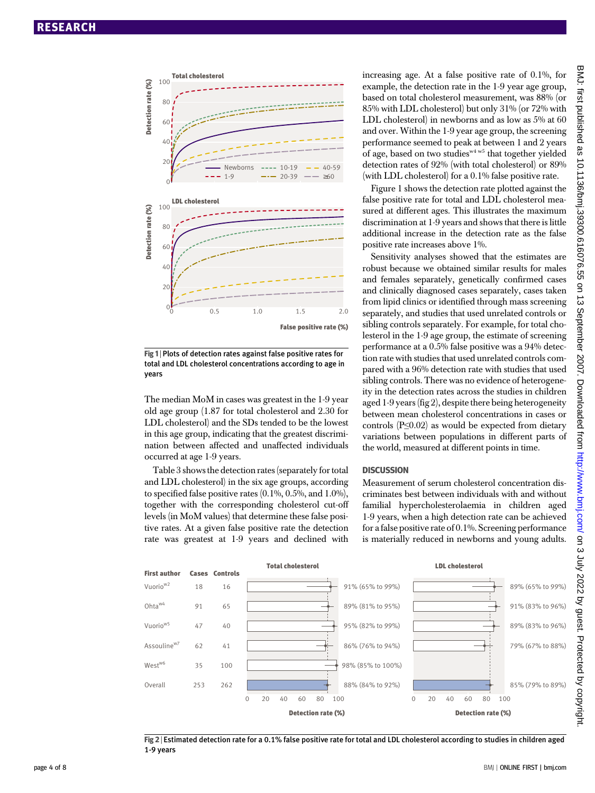

Fig 1 | Plots of detection rates against false positive rates for total and LDL cholesterol concentrations according to age in years

The median MoM in cases was greatest in the 1-9 year old age group (1.87 for total cholesterol and 2.30 for LDL cholesterol) and the SDs tended to be the lowest in this age group, indicating that the greatest discrimination between affected and unaffected individuals occurred at age 1-9 years.

Table 3 shows the detection rates (separately for total and LDL cholesterol) in the six age groups, according to specified false positive rates  $(0.1\%, 0.5\%, \text{and } 1.0\%),$ together with the corresponding cholesterol cut-off levels (in MoM values) that determine these false positive rates. At a given false positive rate the detection rate was greatest at 1-9 years and declined with increasing age. At a false positive rate of 0.1%, for example, the detection rate in the 1-9 year age group, based on total cholesterol measurement, was 88% (or 85% with LDL cholesterol) but only 31% (or 72% with LDL cholesterol) in newborns and as low as 5% at 60 and over. Within the 1-9 year age group, the screening performance seemed to peak at between 1 and 2 years of age, based on two studies<sup>w4 w5</sup> that together yielded detection rates of 92% (with total cholesterol) or 89% (with LDL cholesterol) for a 0.1% false positive rate.

Figure 1 shows the detection rate plotted against the false positive rate for total and LDL cholesterol measured at different ages. This illustrates the maximum discrimination at 1-9 years and shows that there is little additional increase in the detection rate as the false positive rate increases above 1%.

Sensitivity analyses showed that the estimates are robust because we obtained similar results for males and females separately, genetically confirmed cases and clinically diagnosed cases separately, cases taken from lipid clinics or identified through mass screening separately, and studies that used unrelated controls or sibling controls separately. For example, for total cholesterol in the 1-9 age group, the estimate of screening performance at a 0.5% false positive was a 94% detection rate with studies that used unrelated controls compared with a 96% detection rate with studies that used sibling controls. There was no evidence of heterogeneity in the detection rates across the studies in children aged 1-9 years (fig 2), despite there being heterogeneity between mean cholesterol concentrations in cases or controls  $(P \le 0.02)$  as would be expected from dietary variations between populations in different parts of the world, measured at different points in time.

## **DISCUSSION**

measurement of serum cholesterol concentration discriminates best between individuals with and without familial hypercholesterolaemia in children aged 1-9 years, when a high detection rate can be achieved for a false positive rate of 0.1%. Screening performance is materially reduced in newborns and young adults.



Fig 2 <sup>|</sup> Estimated detection rate for a 0.1% false positive rate for total and LDL cholesterol according to studies in children aged 1-9 years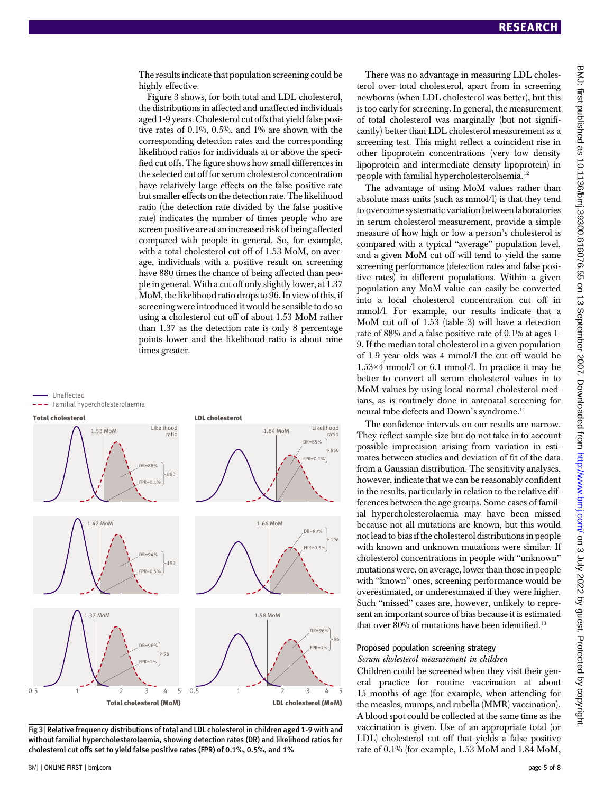The results indicate that population screening could be highly effective.

Figure 3 shows, for both total and LDL cholesterol, the distributions in affected and unaffected individuals aged 1-9 years. Cholesterol cut offs that yield false positive rates of 0.1%, 0.5%, and 1% are shown with the corresponding detection rates and the corresponding likelihood ratios for individuals at or above the specified cut offs. The figure shows how small differences in the selected cut off for serum cholesterol concentration have relatively large effects on the false positive rate but smaller effects on the detection rate. The likelihood ratio (the detection rate divided by the false positive rate) indicates the number of times people who are screen positive are at an increased risk of being affected compared with people in general. So, for example, with a total cholesterol cut off of 1.53 MoM, on average, individuals with a positive result on screening have 880 times the chance of being affected than people in general. With a cut off only slightly lower, at 1.37 MoM, the likelihood ratio drops to 96. In view of this, if screening were introduced it would be sensible to do so using a cholesterol cut off of about 1.53 MoM rather than 1.37 as the detection rate is only 8 percentage points lower and the likelihood ratio is about nine times greater.

 $-$  Unaffected





Fig 3 <sup>|</sup> Relative frequency distributions of total and LDL cholesterol in children aged 1-9 with and without familial hypercholesterolaemia, showing detection rates (DR) and likelihood ratios for cholesterol cut offs set to yield false positive rates (FPR) of 0.1%, 0.5%, and 1%

There was no advantage in measuring LDL cholesterol over total cholesterol, apart from in screening newborns (when LDL cholesterol was better), but this is too early for screening. In general, the measurement of total cholesterol was marginally (but not significantly) better than LDL cholesterol measurement as a screening test. This might reflect a coincident rise in other lipoprotein concentrations (very low density lipoprotein and intermediate density lipoprotein) in people with familial hypercholesterolaemia.<sup>12</sup>

The advantage of using MoM values rather than absolute mass units (such as mmol/l) is that they tend to overcome systematic variation between laboratories in serum cholesterol measurement, provide a simple measure of how high or low a person's cholesterol is compared with a typical "average" population level, and a given MoM cut off will tend to yield the same screening performance (detection rates and false positive rates) in different populations. Within a given population any MoM value can easily be converted into a local cholesterol concentration cut off in mmol/l. For example, our results indicate that a MoM cut off of 1.53 (table 3) will have a detection rate of 88% and a false positive rate of 0.1% at ages 1- 9. If the median total cholesterol in a given population of 1-9 year olds was 4 mmol/l the cut off would be 1.53×4 mmol/l or 6.1 mmol/l. In practice it may be better to convert all serum cholesterol values in to MoM values by using local normal cholesterol medians, as is routinely done in antenatal screening for neural tube defects and Down's syndrome.<sup>11</sup>

The confidence intervals on our results are narrow. They reflect sample size but do not take in to account possible imprecision arising from variation in estimates between studies and deviation of fit of the data from a Gaussian distribution. The sensitivity analyses, however, indicate that we can be reasonably confident in the results, particularly in relation to the relative differences between the age groups. Some cases of familial hypercholesterolaemia may have been missed because not all mutations are known, but this would not lead to bias if the cholesterol distributions in people with known and unknown mutations were similar. If cholesterol concentrations in people with "unknown" mutations were, on average, lower than those in people with "known" ones, screening performance would be overestimated, or underestimated if they were higher. Such "missed" cases are, however, unlikely to represent an important source of bias because it is estimated that over  $80\%$  of mutations have been identified.<sup>13</sup>

# Proposed population screening strategy

# Serum cholesterol measurement in children

Children could be screened when they visit their general practice for routine vaccination at about 15 months of age (for example, when attending for the measles, mumps, and rubella (MMR) vaccination). A blood spot could be collected at the same time as the vaccination is given. Use of an appropriate total (or LDL) cholesterol cut off that yields a false positive rate of 0.1% (for example, 1.53 MoM and 1.84 MoM,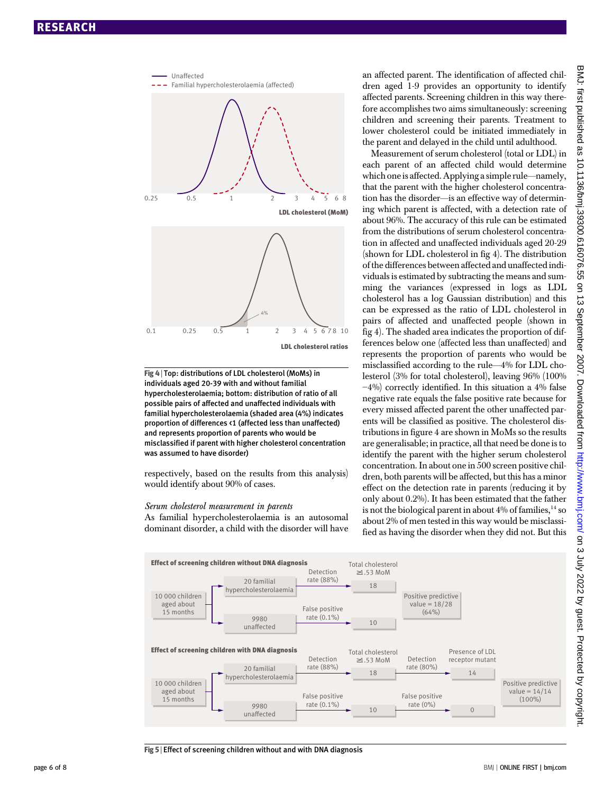# **FSFARCH** RESEARCH





respectively, based on the results from this analysis) would identify about 90% of cases.

## Serum cholesterol measurement in parents

As familial hypercholesterolaemia is an autosomal dominant disorder, a child with the disorder will have an affected parent. The identification of affected children aged 1-9 provides an opportunity to identify affected parents. Screening children in this way therefore accomplishes two aims simultaneously: screening children and screening their parents. Treatment to lower cholesterol could be initiated immediately in the parent and delayed in the child until adulthood.

Measurement of serum cholesterol (total or LDL) in each parent of an affected child would determine which one is affected. Applying a simple rule—namely, that the parent with the higher cholesterol concentration has the disorder—is an effective way of determining which parent is affected, with a detection rate of about 96%. The accuracy of this rule can be estimated from the distributions of serum cholesterol concentration in affected and unaffected individuals aged 20-29 (shown for LDL cholesterol in fig 4). The distribution of the differences between affected and unaffected individuals is estimated by subtracting the means and summing the variances (expressed in logs as LDL cholesterol has a log Gaussian distribution) and this can be expressed as the ratio of LDL cholesterol in pairs of affected and unaffected people (shown in fig 4). The shaded area indicates the proportion of differences below one (affected less than unaffected) and represents the proportion of parents who would be misclassified according to the rule—4% for LDL cholesterol (3% for total cholesterol), leaving 96% (100% −4%) correctly identified. In this situation a 4% false negative rate equals the false positive rate because for every missed affected parent the other unaffected parents will be classified as positive. The cholesterol distributions in figure 4 are shown in MoMs so the results are generalisable; in practice, all that need be done is to identify the parent with the higher serum cholesterol concentration. In about one in 500 screen positive children, both parents will be affected, but this has a minor effect on the detection rate in parents (reducing it by only about 0.2%). It has been estimated that the father is not the biological parent in about  $4\%$  of families,  $14$  so about 2% of men tested in this way would be misclassified as having the disorder when they did not. But this



Fig 5 <sup>|</sup> Effect of screening children without and with DNA diagnosis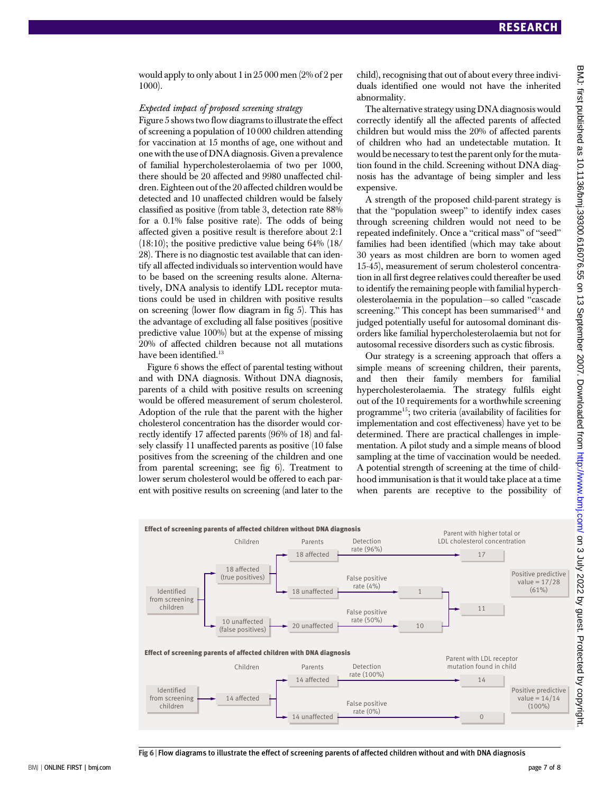would apply to only about 1 in 25 000 men (2% of 2 per 1000).

## Expected impact of proposed screening strategy

Figure 5 shows two flow diagrams to illustrate the effect of screening a population of 10 000 children attending for vaccination at 15 months of age, one without and one with the use of DNA diagnosis. Given a prevalence of familial hypercholesterolaemia of two per 1000, there should be 20 affected and 9980 unaffected children. Eighteen out of the 20 affected children would be detected and 10 unaffected children would be falsely classified as positive (from table 3, detection rate 88% for a 0.1% false positive rate). The odds of being affected given a positive result is therefore about 2:1  $(18:10)$ ; the positive predictive value being 64%  $(18/$ 28). There is no diagnostic test available that can identify all affected individuals so intervention would have to be based on the screening results alone. Alternatively, DNA analysis to identify LDL receptor mutations could be used in children with positive results on screening (lower flow diagram in fig 5). This has the advantage of excluding all false positives (positive predictive value 100%) but at the expense of missing 20% of affected children because not all mutations have been identified.<sup>13</sup>

Figure 6 shows the effect of parental testing without and with DNA diagnosis. Without DNA diagnosis, parents of a child with positive results on screening would be offered measurement of serum cholesterol. Adoption of the rule that the parent with the higher cholesterol concentration has the disorder would correctly identify 17 affected parents (96% of 18) and falsely classify 11 unaffected parents as positive (10 false positives from the screening of the children and one from parental screening; see fig 6). Treatment to lower serum cholesterol would be offered to each parent with positive results on screening (and later to the child), recognising that out of about every three individuals identified one would not have the inherited abnormality.

The alternative strategy using DNA diagnosis would correctly identify all the affected parents of affected children but would miss the 20% of affected parents of children who had an undetectable mutation. It would be necessary to test the parent only for the mutation found in the child. Screening without DNA diagnosis has the advantage of being simpler and less expensive.

A strength of the proposed child-parent strategy is that the "population sweep" to identify index cases through screening children would not need to be repeated indefinitely. Once a "critical mass" of "seed" families had been identified (which may take about 30 years as most children are born to women aged 15-45), measurement of serum cholesterol concentration in all first degree relatives could thereafter be used to identify the remaining people with familial hypercholesterolaemia in the population—so called "cascade screening." This concept has been summarised<sup>34</sup> and judged potentially useful for autosomal dominant disorders like familial hypercholesterolaemia but not for autosomal recessive disorders such as cystic fibrosis.

Our strategy is a screening approach that offers a simple means of screening children, their parents, and then their family members for familial hypercholesterolaemia. The strategy fulfils eight out of the 10 requirements for a worthwhile screening programme<sup>15</sup>; two criteria (availability of facilities for implementation and cost effectiveness) have yet to be determined. There are practical challenges in implementation. A pilot study and a simple means of blood sampling at the time of vaccination would be needed. A potential strength of screening at the time of childhood immunisation is that it would take place at a time when parents are receptive to the possibility of



Fig 6 <sup>|</sup> Flow diagrams to illustrate the effect of screening parents of affected children without and with DNA diagnosis